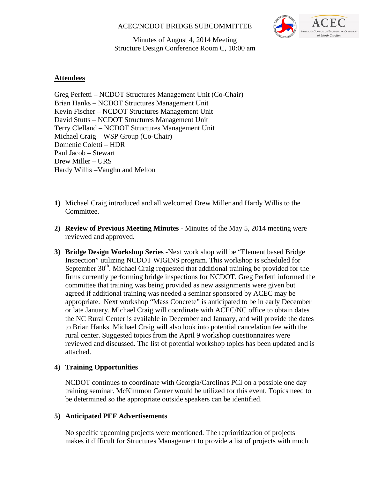# ACEC/NCDOT BRIDGE SUBCOMMITTEE

Minutes of August 4, 2014 Meeting Structure Design Conference Room C, 10:00 am

# **Attendees**

Greg Perfetti – NCDOT Structures Management Unit (Co-Chair) Brian Hanks – NCDOT Structures Management Unit Kevin Fischer – NCDOT Structures Management Unit David Stutts – NCDOT Structures Management Unit Terry Clelland – NCDOT Structures Management Unit Michael Craig – WSP Group (Co-Chair) Domenic Coletti – HDR Paul Jacob – Stewart Drew Miller – URS Hardy Willis –Vaughn and Melton

- **1)** Michael Craig introduced and all welcomed Drew Miller and Hardy Willis to the Committee.
- **2) Review of Previous Meeting Minutes** Minutes of the May 5, 2014 meeting were reviewed and approved.
- **3) Bridge Design Workshop Series** -Next work shop will be "Element based Bridge Inspection" utilizing NCDOT WIGINS program. This workshop is scheduled for September 30<sup>th</sup>. Michael Craig requested that additional training be provided for the firms currently performing bridge inspections for NCDOT. Greg Perfetti informed the committee that training was being provided as new assignments were given but agreed if additional training was needed a seminar sponsored by ACEC may be appropriate. Next workshop "Mass Concrete" is anticipated to be in early December or late January. Michael Craig will coordinate with ACEC/NC office to obtain dates the NC Rural Center is available in December and January, and will provide the dates to Brian Hanks. Michael Craig will also look into potential cancelation fee with the rural center. Suggested topics from the April 9 workshop questionnaires were reviewed and discussed. The list of potential workshop topics has been updated and is attached.

# **4) Training Opportunities**

NCDOT continues to coordinate with Georgia/Carolinas PCI on a possible one day training seminar. McKimmon Center would be utilized for this event. Topics need to be determined so the appropriate outside speakers can be identified.

#### **5) Anticipated PEF Advertisements**

No specific upcoming projects were mentioned. The reprioritization of projects makes it difficult for Structures Management to provide a list of projects with much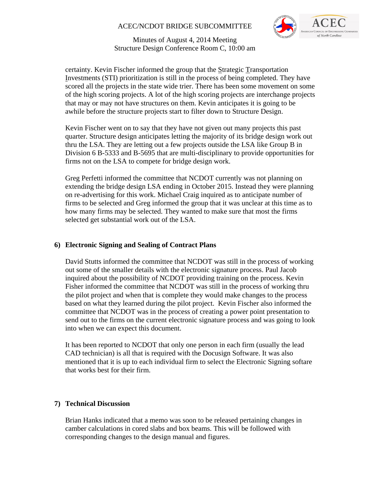# ACEC/NCDOT BRIDGE SUBCOMMITTEE



Minutes of August 4, 2014 Meeting Structure Design Conference Room C, 10:00 am

certainty. Kevin Fischer informed the group that the Strategic Transportation Investments (STI) prioritization is still in the process of being completed. They have scored all the projects in the state wide trier. There has been some movement on some of the high scoring projects. A lot of the high scoring projects are interchange projects that may or may not have structures on them. Kevin anticipates it is going to be awhile before the structure projects start to filter down to Structure Design.

Kevin Fischer went on to say that they have not given out many projects this past quarter. Structure design anticipates letting the majority of its bridge design work out thru the LSA. They are letting out a few projects outside the LSA like Group B in Division 6 B-5333 and B-5695 that are multi-disciplinary to provide opportunities for firms not on the LSA to compete for bridge design work.

Greg Perfetti informed the committee that NCDOT currently was not planning on extending the bridge design LSA ending in October 2015. Instead they were planning on re-advertising for this work. Michael Craig inquired as to anticipate number of firms to be selected and Greg informed the group that it was unclear at this time as to how many firms may be selected. They wanted to make sure that most the firms selected get substantial work out of the LSA.

# **6) Electronic Signing and Sealing of Contract Plans**

David Stutts informed the committee that NCDOT was still in the process of working out some of the smaller details with the electronic signature process. Paul Jacob inquired about the possibility of NCDOT providing training on the process. Kevin Fisher informed the committee that NCDOT was still in the process of working thru the pilot project and when that is complete they would make changes to the process based on what they learned during the pilot project. Kevin Fischer also informed the committee that NCDOT was in the process of creating a power point presentation to send out to the firms on the current electronic signature process and was going to look into when we can expect this document.

It has been reported to NCDOT that only one person in each firm (usually the lead CAD technician) is all that is required with the Docusign Software. It was also mentioned that it is up to each individual firm to select the Electronic Signing softare that works best for their firm.

# **7) Technical Discussion**

Brian Hanks indicated that a memo was soon to be released pertaining changes in camber calculations in cored slabs and box beams. This will be followed with corresponding changes to the design manual and figures.